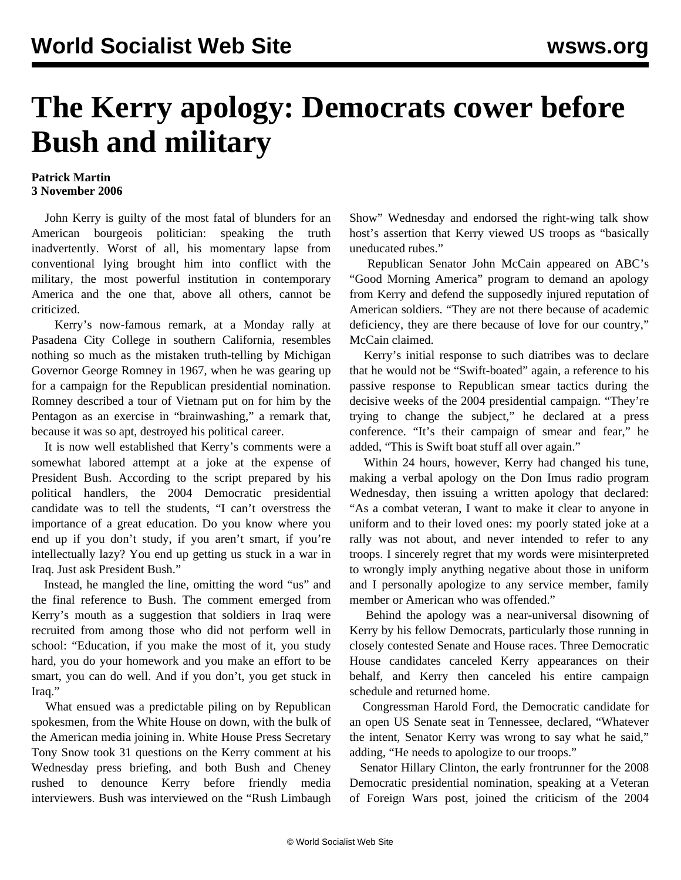## **The Kerry apology: Democrats cower before Bush and military**

## **Patrick Martin 3 November 2006**

 John Kerry is guilty of the most fatal of blunders for an American bourgeois politician: speaking the truth inadvertently. Worst of all, his momentary lapse from conventional lying brought him into conflict with the military, the most powerful institution in contemporary America and the one that, above all others, cannot be criticized.

 Kerry's now-famous remark, at a Monday rally at Pasadena City College in southern California, resembles nothing so much as the mistaken truth-telling by Michigan Governor George Romney in 1967, when he was gearing up for a campaign for the Republican presidential nomination. Romney described a tour of Vietnam put on for him by the Pentagon as an exercise in "brainwashing," a remark that, because it was so apt, destroyed his political career.

 It is now well established that Kerry's comments were a somewhat labored attempt at a joke at the expense of President Bush. According to the script prepared by his political handlers, the 2004 Democratic presidential candidate was to tell the students, "I can't overstress the importance of a great education. Do you know where you end up if you don't study, if you aren't smart, if you're intellectually lazy? You end up getting us stuck in a war in Iraq. Just ask President Bush."

 Instead, he mangled the line, omitting the word "us" and the final reference to Bush. The comment emerged from Kerry's mouth as a suggestion that soldiers in Iraq were recruited from among those who did not perform well in school: "Education, if you make the most of it, you study hard, you do your homework and you make an effort to be smart, you can do well. And if you don't, you get stuck in Iraq."

 What ensued was a predictable piling on by Republican spokesmen, from the White House on down, with the bulk of the American media joining in. White House Press Secretary Tony Snow took 31 questions on the Kerry comment at his Wednesday press briefing, and both Bush and Cheney rushed to denounce Kerry before friendly media interviewers. Bush was interviewed on the "Rush Limbaugh

Show" Wednesday and endorsed the right-wing talk show host's assertion that Kerry viewed US troops as "basically uneducated rubes."

 Republican Senator John McCain appeared on ABC's "Good Morning America" program to demand an apology from Kerry and defend the supposedly injured reputation of American soldiers. "They are not there because of academic deficiency, they are there because of love for our country," McCain claimed.

 Kerry's initial response to such diatribes was to declare that he would not be "Swift-boated" again, a reference to his passive response to Republican smear tactics during the decisive weeks of the 2004 presidential campaign. "They're trying to change the subject," he declared at a press conference. "It's their campaign of smear and fear," he added, "This is Swift boat stuff all over again."

 Within 24 hours, however, Kerry had changed his tune, making a verbal apology on the Don Imus radio program Wednesday, then issuing a written apology that declared: "As a combat veteran, I want to make it clear to anyone in uniform and to their loved ones: my poorly stated joke at a rally was not about, and never intended to refer to any troops. I sincerely regret that my words were misinterpreted to wrongly imply anything negative about those in uniform and I personally apologize to any service member, family member or American who was offended."

 Behind the apology was a near-universal disowning of Kerry by his fellow Democrats, particularly those running in closely contested Senate and House races. Three Democratic House candidates canceled Kerry appearances on their behalf, and Kerry then canceled his entire campaign schedule and returned home.

 Congressman Harold Ford, the Democratic candidate for an open US Senate seat in Tennessee, declared, "Whatever the intent, Senator Kerry was wrong to say what he said," adding, "He needs to apologize to our troops."

 Senator Hillary Clinton, the early frontrunner for the 2008 Democratic presidential nomination, speaking at a Veteran of Foreign Wars post, joined the criticism of the 2004